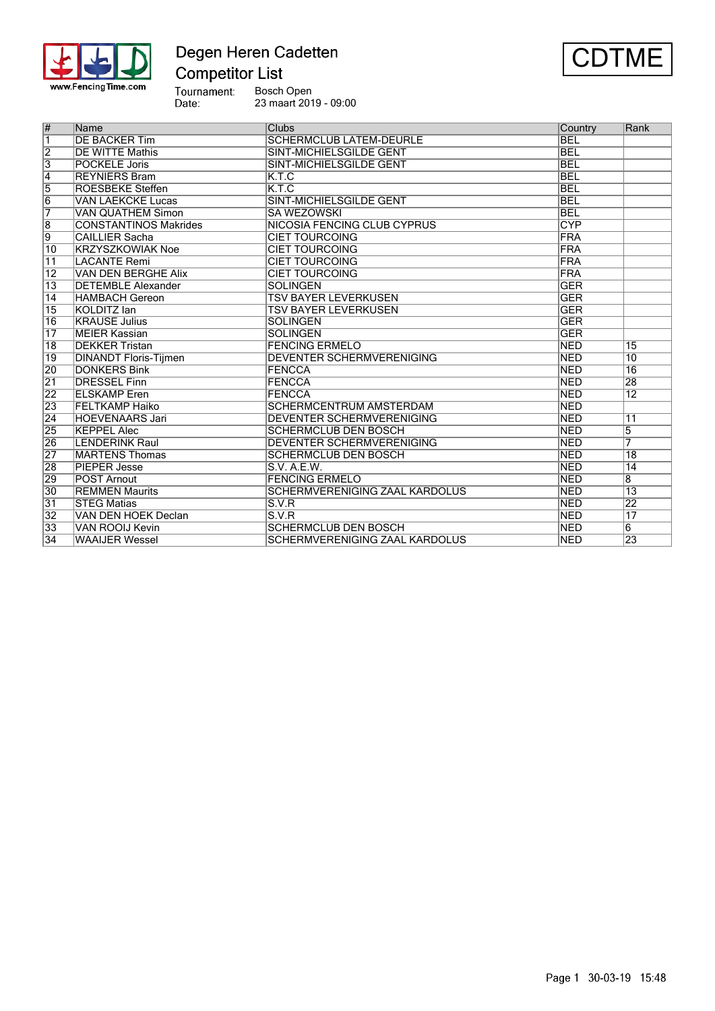

## Degen Heren Cadetten **Competitor List**



Tournament:<br>Date: Bosch Open<br>23 maart 2019 - 09:00



| $\overline{\#}$         | Name                         | <b>Clubs</b>                          | Country    | Rank            |
|-------------------------|------------------------------|---------------------------------------|------------|-----------------|
| $\overline{\mathbf{1}}$ | <b>DE BACKER Tim</b>         | <b>SCHERMCLUB LATEM-DEURLE</b>        | <b>BEL</b> |                 |
| $\overline{2}$          | <b>DE WITTE Mathis</b>       | <b>SINT-MICHIELSGILDE GENT</b>        | <b>BEL</b> |                 |
| $\overline{3}$          | <b>POCKELE Joris</b>         | SINT-MICHIELSGILDE GENT               | <b>BEL</b> |                 |
| $\overline{4}$          | <b>REYNIERS Bram</b>         | K.T.C                                 | <b>BEL</b> |                 |
| $\overline{5}$          | <b>ROESBEKE Steffen</b>      | K.T.C                                 | <b>BEL</b> |                 |
| $\overline{6}$          | <b>VAN LAEKCKE Lucas</b>     | <b>SINT-MICHIELSGILDE GENT</b>        | <b>BEL</b> |                 |
| 7                       | <b>VAN QUATHEM Simon</b>     | <b>SA WEZOWSKI</b>                    | <b>BEL</b> |                 |
| $\overline{\mathbf{8}}$ | <b>CONSTANTINOS Makrides</b> | NICOSIA FENCING CLUB CYPRUS           | <b>CYP</b> |                 |
| g                       | <b>CAILLIER Sacha</b>        | <b>CIET TOURCOING</b>                 | FRA        |                 |
| 10                      | <b>KRZYSZKOWIAK Noe</b>      | <b>CIET TOURCOING</b>                 | FRA        |                 |
| $\overline{11}$         | <b>LACANTE Remi</b>          | <b>CIET TOURCOING</b>                 | FRA        |                 |
| $\overline{12}$         | <b>VAN DEN BERGHE Alix</b>   | <b>CIET TOURCOING</b>                 | FRA        |                 |
| $\overline{13}$         | <b>DETEMBLE Alexander</b>    | <b>SOLINGEN</b>                       | <b>GER</b> |                 |
| $\overline{14}$         | <b>HAMBACH Gereon</b>        | <b>TSV BAYER LEVERKUSEN</b>           | <b>GER</b> |                 |
| $\overline{15}$         | <b>KOLDITZ</b> lan           | <b>TSV BAYER LEVERKUSEN</b>           | <b>GER</b> |                 |
| 16                      | <b>KRAUSE Julius</b>         | <b>SOLINGEN</b>                       | <b>GER</b> |                 |
| $\overline{17}$         | <b>MEIER Kassian</b>         | <b>SOLINGEN</b>                       | <b>GER</b> |                 |
| $\overline{18}$         | <b>DEKKER Tristan</b>        | <b>FENCING ERMELO</b>                 | <b>NED</b> | $\overline{15}$ |
| 19                      | <b>DINANDT Floris-Tijmen</b> | <b>DEVENTER SCHERMVERENIGING</b>      | <b>NED</b> | $\overline{10}$ |
| 20                      | <b>DONKERS Bink</b>          | <b>FENCCA</b>                         | <b>NED</b> | $\overline{16}$ |
| $\overline{21}$         | <b>DRESSEL Finn</b>          | <b>FENCCA</b>                         | <b>NED</b> | 28              |
| 22                      | <b>ELSKAMP</b> Eren          | <b>FENCCA</b>                         | <b>NED</b> | $\overline{12}$ |
| $\overline{23}$         | <b> FELTKAMP Haiko</b>       | <b>SCHERMCENTRUM AMSTERDAM</b>        | <b>NED</b> |                 |
| $\overline{24}$         | <b>HOEVENAARS Jari</b>       | DEVENTER SCHERMVERENIGING             | <b>NED</b> | 11              |
| 25                      | <b>KEPPEL Alec</b>           | <b>SCHERMCLUB DEN BOSCH</b>           | <b>NED</b> | $\overline{5}$  |
| 26                      | <b>LENDERINK Raul</b>        | <b>DEVENTER SCHERMVERENIGING</b>      | <b>NED</b> | 7               |
| $\overline{27}$         | <b>MARTENS Thomas</b>        | <b>SCHERMCLUB DEN BOSCH</b>           | <b>NED</b> | $\overline{18}$ |
| 28                      | <b>PIEPER Jesse</b>          | S.V. A.E.W.                           | <b>NED</b> | $\overline{14}$ |
| 29                      | <b>POST Arnout</b>           | <b>FENCING ERMELO</b>                 | <b>NED</b> | $\overline{8}$  |
| $\overline{30}$         | <b>REMMEN Maurits</b>        | SCHERMVERENIGING ZAAL KARDOLUS        | <b>NED</b> | $\overline{13}$ |
| $\overline{31}$         | <b>STEG Matias</b>           | S.V.R                                 | <b>NED</b> | 22              |
| $\overline{32}$         | VAN DEN HOEK Declan          | S.V.R                                 | <b>NED</b> | $\overline{17}$ |
| $\overline{33}$         | <b>VAN ROOL Kevin</b>        | <b>SCHERMCLUB DEN BOSCH</b>           | <b>NED</b> | 6               |
| 34                      | <b>WAAIJER Wessel</b>        | <b>SCHERMVERENIGING ZAAL KARDOLUS</b> | <b>NED</b> | 23              |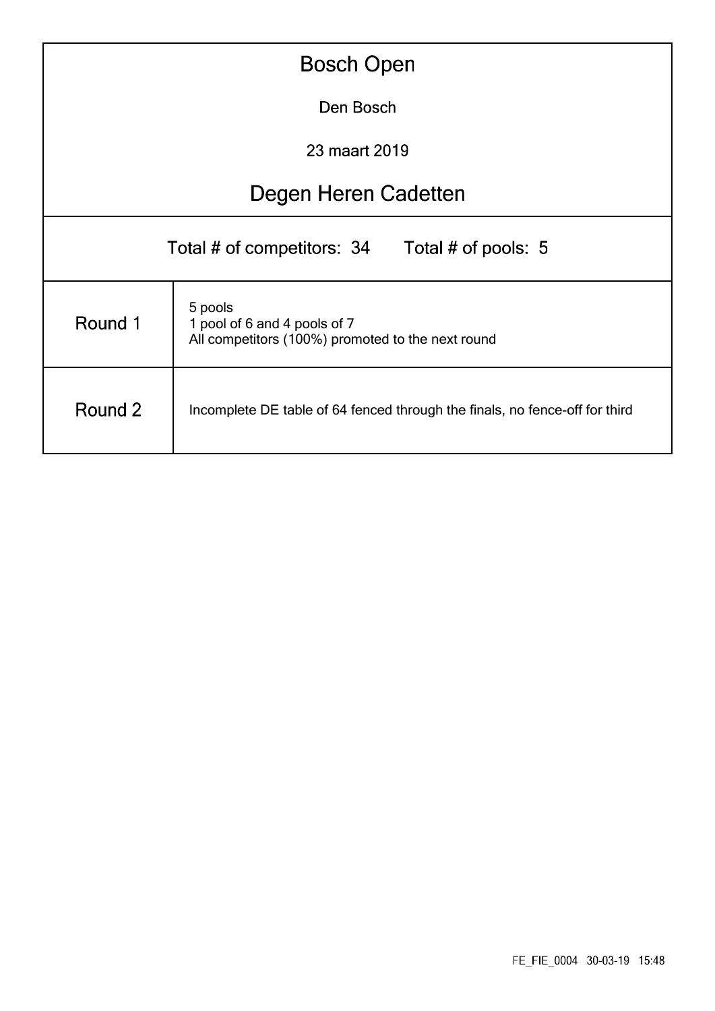|                      | <b>Bosch Open</b>                                                                            |  |  |  |  |  |  |  |  |  |  |
|----------------------|----------------------------------------------------------------------------------------------|--|--|--|--|--|--|--|--|--|--|
| Den Bosch            |                                                                                              |  |  |  |  |  |  |  |  |  |  |
| 23 maart 2019        |                                                                                              |  |  |  |  |  |  |  |  |  |  |
| Degen Heren Cadetten |                                                                                              |  |  |  |  |  |  |  |  |  |  |
|                      | Total # of competitors: 34<br>Total # of pools: 5                                            |  |  |  |  |  |  |  |  |  |  |
| Round 1              | 5 pools<br>1 pool of 6 and 4 pools of 7<br>All competitors (100%) promoted to the next round |  |  |  |  |  |  |  |  |  |  |
| Round 2              | Incomplete DE table of 64 fenced through the finals, no fence-off for third                  |  |  |  |  |  |  |  |  |  |  |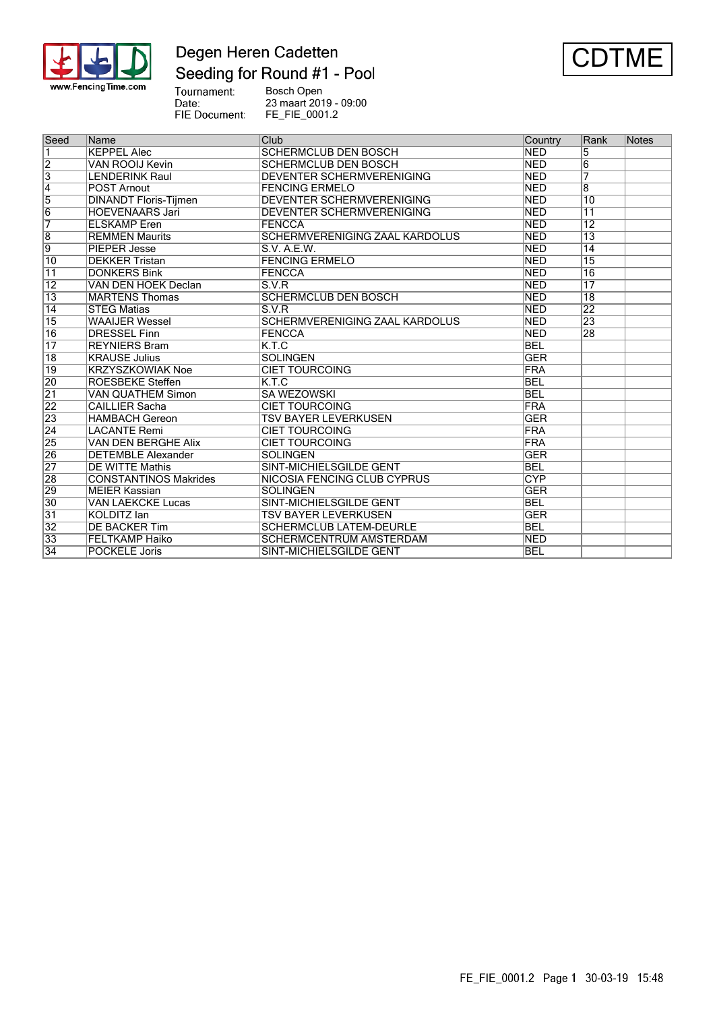

## Degen Heren Cadetten Seeding for Round #1 - Pool



Tournament: **Bosch Open** 23 maart 2019 - 09:00 Date: FIE Document: FE\_FIE\_0001.2

Country Seed Name Club Rank Notes **KEPPEL Alec SCHERMCLUB DEN BOSCH**  $\overline{1}$ **NED**  $\overline{5}$  $\overline{2}$ **VAN ROOIJ Kevin SCHERMCLUB DEN BOSCH NFD**  $\overline{6}$  $\frac{3}{4}$ **LENDERINK Raul DEVENTER SCHERMVERENIGING NED** 7 **POST Arnout FENCING ERMELO NED**  $\overline{8}$ 5 **DINANDT Floris-Tijmen DEVENTER SCHERMVERENIGING NED** 10 6 **HOEVENAARS Jari DEVENTER SCHERMVERENIGING NED**  $\overline{11}$ 17 **ELSKAMP** Eren **FENCCA** NED  $12$ 8 **REMMEN Maurits SCHERMVERENIGING ZAAL KARDOLUS NED**  $\overline{13}$ 9 **PIEPER Jesse** S.V. A.E.W. **NED**  $\overline{14}$  $\overline{10}$ **DEKKER Tristan FENCING ERMELO** 15 **NFD DONKERS Bink FENCCA NED**  $\overline{16}$  $\overline{11}$ **VAN DEN HOEK Declan**  $S.V.R$ **NFD**  $\overline{12}$  $17$  $\overline{13}$ **MARTENS Thomas SCHERMCLUB DEN BOSCH NED**  $\overline{18}$  $\overline{14}$ **STEG Matias**  $S.V.R$ **NED**  $\overline{22}$ 15 **WAAIJER Wessel** SCHERMVERENIGING ZAAL KARDOLUS  $\overline{23}$ **NED DRESSEL Finn** FENCCA **NED** 28 16  $\overline{17}$ **REYNIERS Bram**  $K.T.C$ **BEL** 18 **KRAUSE Julius SOLINGEN GER CIET TOURCOING**  $\overline{19}$ **KRZYSZKOWIAK Noe** FRA  $\overline{20}$  $KTC$ **ROESBEKE Steffen BFL**  $\overline{21}$ **VAN QUATHEM Simon SA WEZOWSKI** BEL 22 **CAILLIER Sacha CIET TOURCOING FRA** 23 **HAMBACH Gereon TSV BAYER LEVERKUSEN GER**  $\overline{24}$ **CIET TOURCOING LACANTE Remi** FRA **CIET TOURCOING** 25 **VAN DEN BERGHE Alix** FRA 26 **DETEMBLE Alexander SOLINGEN** GER  $\overline{27}$ **DE WITTE Mathis** SINT-MICHIELSGILDE GENT **BEL** 28 **CONSTANTINOS Makrides NICOSIA FENCING CLUB CYPRUS** CYP 29 **SOLINGEN GER MEIER Kassian**  $\overline{30}$ **VAN LAEKCKE Lucas SINT-MICHIELSGILDE GENT BEL**  $\overline{31}$ KOLDITZ lan **TSV BAYER LEVERKUSEN GER**  $\frac{32}{33}$ **DE BACKER Tim SCHERMCLUB LATEM-DEURLE BEL FELTKAMP Haiko SCHERMCENTRUM AMSTERDAM NED**  $\overline{34}$ **POCKELE Joris** SINT-MICHIELSGILDE GENT **BEL**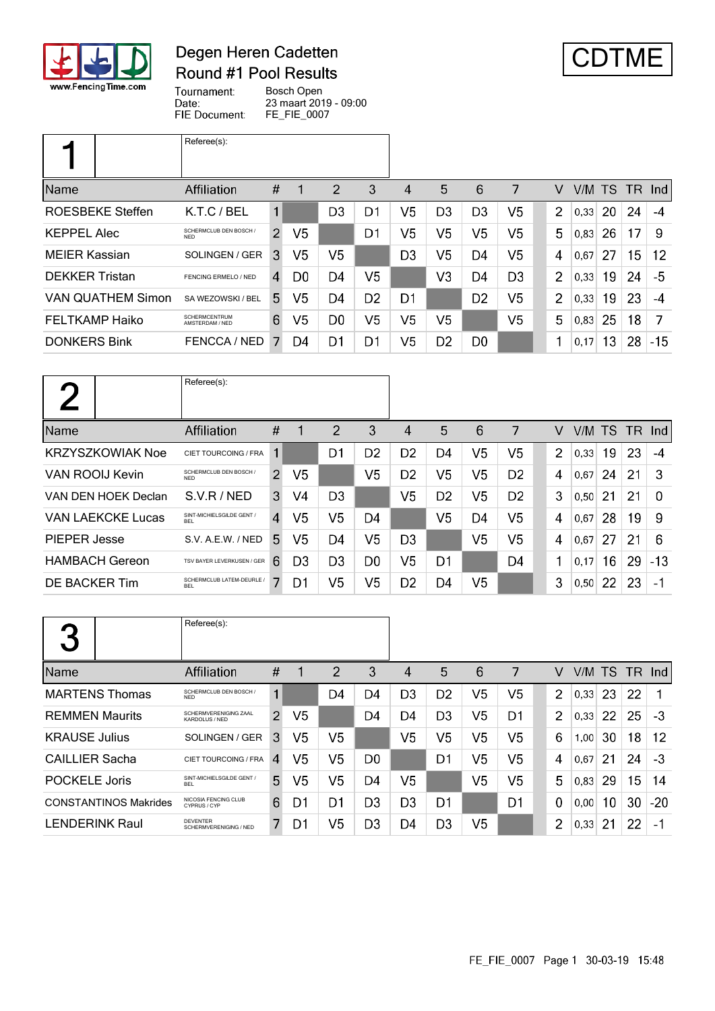

## Degen Heren Cadetten Round #1 Pool Results



Tournament: Bosch Open Date: 23 maart 2019 - 09:00 FIE Document: FE\_FIE\_0007

|                          | Referee(s):                             |                |                |                |                |                |                |                |                |                |        |    |        |       |
|--------------------------|-----------------------------------------|----------------|----------------|----------------|----------------|----------------|----------------|----------------|----------------|----------------|--------|----|--------|-------|
| Name                     | Affiliation                             | #              |                | $\overline{2}$ | 3              | 4              | 5              | 6              | 7              | v              | V/M TS |    | TR Ind |       |
| <b>ROESBEKE Steffen</b>  | $K.T.C$ / BEL                           | $\mathbf{1}$   |                | D <sub>3</sub> | D1             | V5             | D <sub>3</sub> | D <sub>3</sub> | V5             | $\overline{2}$ | 0,33   | 20 | 24     | $-4$  |
| <b>KEPPEL Alec</b>       | SCHERMCLUB DEN BOSCH /<br><b>NED</b>    | $\overline{2}$ | V <sub>5</sub> |                | D1             | V5             | V5             | V5             | V5             | 5              | 0,83   | 26 | 17     | 9     |
| <b>MEIER Kassian</b>     | SOLINGEN / GER                          | 3              | V5             | V5             |                | D <sub>3</sub> | V5             | D4             | V5             | 4              | 0,67   | 27 | 15     | 12    |
| <b>DEKKER Tristan</b>    | FENCING ERMELO / NED                    | 4              | D0             | D4             | V5             |                | V3             | D4             | D <sub>3</sub> | $\overline{2}$ | 0,33   | 19 | 24     | -5    |
| <b>VAN QUATHEM Simon</b> | SA WEZOWSKI / BEL                       | 5.             | V <sub>5</sub> | D4             | D <sub>2</sub> | D <sub>1</sub> |                | D <sub>2</sub> | V5             | $\overline{2}$ | 0.33   | 19 | 23     | -4    |
| FELTKAMP Haiko           | <b>SCHERMCENTRUM</b><br>AMSTERDAM / NED | 6              | V5             | D <sub>0</sub> | V <sub>5</sub> | V5             | V5             |                | V <sub>5</sub> | 5              | 0,83   | 25 | 18     | 7     |
| <b>DONKERS Bink</b>      | FENCCA / NED                            |                | D4             | D1             | D1             | V5             | D <sub>2</sub> | D <sub>0</sub> |                | 1              | 0,17   | 13 | 28     | $-15$ |

|                          | Referee(s):                             |                |                |                |                |                |                |                |                |                |        |    |     |                      |
|--------------------------|-----------------------------------------|----------------|----------------|----------------|----------------|----------------|----------------|----------------|----------------|----------------|--------|----|-----|----------------------|
| Name                     | <b>Affiliation</b>                      | #              |                | 2              | 3              | 4              | 5              | 6              | 7              | V              | V/M TS |    | TR. | $\lfloor nd \rfloor$ |
| <b>KRZYSZKOWIAK Noe</b>  | CIET TOURCOING / FRA                    | 1              |                | D1             | D <sub>2</sub> | D <sub>2</sub> | D4             | V <sub>5</sub> | V <sub>5</sub> | $\overline{2}$ | 0.33   | 19 | 23  | -4                   |
| VAN ROOIJ Kevin          | SCHERMCLUB DEN BOSCH /<br><b>NFD</b>    | $\overline{2}$ | V <sub>5</sub> |                | V5             | D <sub>2</sub> | V <sub>5</sub> | V <sub>5</sub> | D <sub>2</sub> | 4              | 0,67   | 24 | 21  | 3                    |
| VAN DEN HOEK Declan      | S.V.R/NED                               | 3              | V4             | D <sub>3</sub> |                | V <sub>5</sub> | D <sub>2</sub> | V <sub>5</sub> | D <sub>2</sub> | 3              | 0,50   | 21 | 21  | $\Omega$             |
| <b>VAN LAEKCKE Lucas</b> | SINT-MICHIELSGILDE GENT /<br><b>BEL</b> | $\overline{4}$ | V5             | V5             | D4             |                | V <sub>5</sub> | D4             | V <sub>5</sub> | 4              | 0,67   | 28 | 19  | -9                   |
| PIEPER Jesse             | S.V. A.E.W. / NED                       | 5.             | V <sub>5</sub> | D4             | V5             | D3             |                | V <sub>5</sub> | V <sub>5</sub> | 4              | 0,67   | 27 | 21  | 6                    |
| <b>HAMBACH Gereon</b>    | TSV BAYER LEVERKUSEN / GER              | 6              | D <sub>3</sub> | D <sub>3</sub> | D <sub>0</sub> | V <sub>5</sub> | D1             |                | D <sub>4</sub> | 1              | 0,17   | 16 | 29  | $-13$                |
| <b>DE BACKER Tim</b>     | SCHERMCLUB LATEM-DEURLE /<br><b>BEL</b> | 7              | D <sub>1</sub> | V5             | V5             | D <sub>2</sub> | D4             | V <sub>5</sub> |                | 3              | 0,50   | 22 | 23  | - 1                  |

| 3                            | Referee(s):                               |      |    |    |                |                |                |                |                |                         |        |    |     |       |
|------------------------------|-------------------------------------------|------|----|----|----------------|----------------|----------------|----------------|----------------|-------------------------|--------|----|-----|-------|
| Name                         | Affiliation                               | $\#$ |    | 2  | 3              | 4              | 5              | 6              | 7              | V                       | V/M TS |    | TR. | Ind   |
| <b>MARTENS Thomas</b>        | SCHERMCLUB DEN BOSCH /<br><b>NFD</b>      | 1    |    | D4 | D4             | D <sub>3</sub> | D <sub>2</sub> | V5             | V5             | $\overline{2}$          | 0,33   | 23 | 22  |       |
| <b>REMMEN Maurits</b>        | SCHERMVERENIGING ZAAL<br>KARDOLUS / NED   | 2    | V5 |    | D4             | D4             | D <sub>3</sub> | V5             | D1             | $\overline{2}$          | 0.33   | 22 | 25  | -3    |
| <b>KRAUSE Julius</b>         | SOLINGEN / GER                            | 3    | V5 | V5 |                | V5             | V5             | V <sub>5</sub> | V <sub>5</sub> | 6                       | 1,00   | 30 | 18  | 12    |
| <b>CAILLIER Sacha</b>        | CIET TOURCOING / FRA                      | 4    | V5 | V5 | D <sub>0</sub> |                | D <sub>1</sub> | V <sub>5</sub> | V5             | $\overline{\mathbf{4}}$ | 0.67   | 21 | 24  | $-3$  |
| <b>POCKELE Joris</b>         | SINT-MICHIELSGILDE GENT /<br><b>BEL</b>   | 5    | V5 | V5 | D4             | V5             |                | V <sub>5</sub> | V <sub>5</sub> | 5                       | 0.83   | 29 | 15  | 14    |
| <b>CONSTANTINOS Makrides</b> | NICOSIA FENCING CLUB<br>CYPRUS / CYP      | 6    | D1 | D1 | D <sub>3</sub> | D <sub>3</sub> | D1             |                | D1             | $\Omega$                | 0.00   | 10 | 30  | $-20$ |
| <b>LENDERINK Raul</b>        | <b>DEVENTER</b><br>SCHERMVERENIGING / NED | 7    | D1 | V5 | D <sub>3</sub> | D4             | D <sub>3</sub> | V <sub>5</sub> |                | $\overline{2}$          | 0,33   | 21 | 22  | -1    |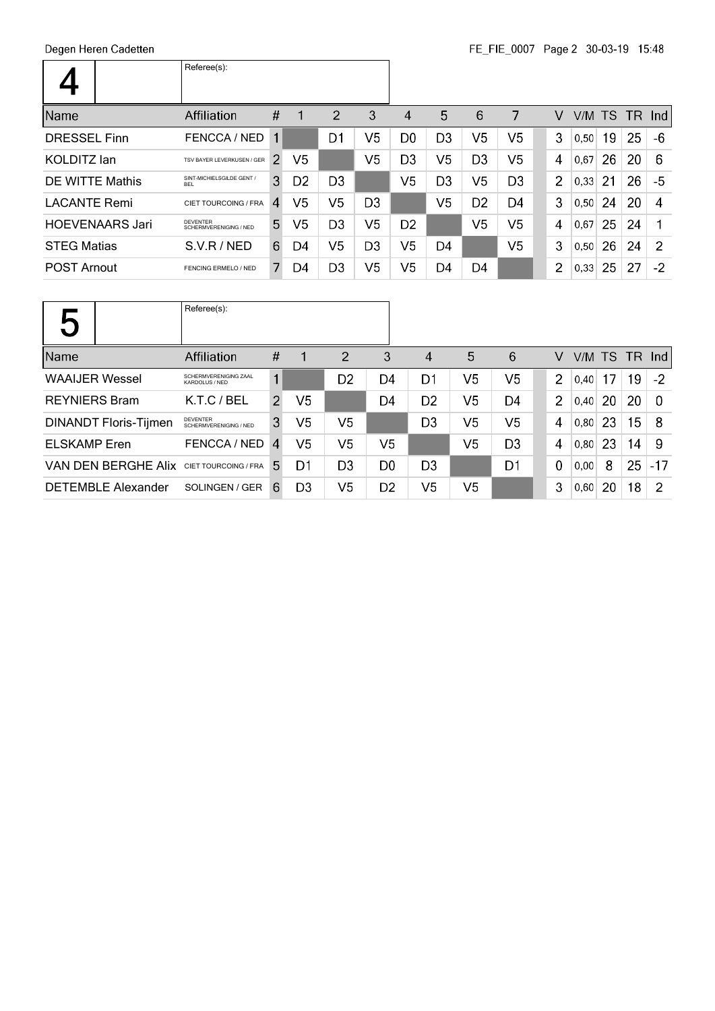|                        | Referee(s):                               |               |                |                |                |                |                |                |                |                |        |    |     |                  |
|------------------------|-------------------------------------------|---------------|----------------|----------------|----------------|----------------|----------------|----------------|----------------|----------------|--------|----|-----|------------------|
| Name                   | <b>Affiliation</b>                        | #             |                | 2              | 3              | 4              | 5              | 6              | 7              | v              | V/M TS |    | TR. | -Ind l           |
| <b>DRESSEL Finn</b>    | FENCCA / NED                              | 1             |                | D1             | V5             | D <sub>0</sub> | D <sub>3</sub> | V <sub>5</sub> | V5             | 3              | 0,50   | 19 | 25  | -6               |
| <b>KOLDITZ</b> lan     | TSV BAYER LEVERKUSEN / GER                | $\mathcal{P}$ | V5             |                | V5             | D <sub>3</sub> | V <sub>5</sub> | D <sub>3</sub> | V <sub>5</sub> | 4              | 0.67   | 26 | 20  | 6                |
| DE WITTE Mathis        | SINT-MICHIELSGILDE GENT /<br><b>BFI</b>   | 3             | D <sub>2</sub> | D <sub>3</sub> |                | V5             | D <sub>3</sub> | V <sub>5</sub> | D <sub>3</sub> | $\overline{2}$ | 0.33   | 21 | 26  | -5               |
| <b>LACANTE Remi</b>    | CIET TOURCOING / FRA                      | 4             | V5             | V5             | D <sub>3</sub> |                | V5             | D <sub>2</sub> | D4             | 3              | 0,50   | 24 | 20  | $\boldsymbol{A}$ |
| <b>HOEVENAARS Jari</b> | <b>DEVENTER</b><br>SCHERMVERENIGING / NED | 5             | V <sub>5</sub> | D <sub>3</sub> | V <sub>5</sub> | D <sub>2</sub> |                | V <sub>5</sub> | V <sub>5</sub> | 4              | 0.67   | 25 | 24  |                  |
| <b>STEG Matias</b>     | S.V.R/NED                                 | 6             | D4             | V5             | D <sub>3</sub> | V5             | D4             |                | V <sub>5</sub> | 3              | 0,50   | 26 | 24  | 2                |
| <b>POST Arnout</b>     | FENCING ERMELO / NED                      | 7.            | D4             | D3             | V <sub>5</sub> | V5             | D4             | D4             |                | $\overline{2}$ | 0,33   | 25 | 27  | $-2$             |

| U                            | Referee(s):                             |                |                |                |                |                        |                |                |          |                 |    |    |       |
|------------------------------|-----------------------------------------|----------------|----------------|----------------|----------------|------------------------|----------------|----------------|----------|-----------------|----|----|-------|
| Name                         | Affiliation                             | $\#$           | $\mathbf{1}$   | $\overline{2}$ | 3              | $\boldsymbol{\Lambda}$ | 5              | 6              | V        | $V/M$ TS TR Ind |    |    |       |
| <b>WAAIJER Wessel</b>        | SCHERMVERENIGING ZAAL<br>KARDOLUS / NED | 1              |                | D <sub>2</sub> | D4             | D1                     | V5             | V <sub>5</sub> | 2        | 0,40            | 17 | 19 | $-2$  |
| <b>REYNIERS Bram</b>         | K.T.C/BEL                               | $\mathcal{P}$  | V5             |                | D4             | D <sub>2</sub>         | V5             | D4             | 2        | 0,40            | 20 | 20 | -0    |
| <b>DINANDT Floris-Tijmen</b> | DEVENTER<br>SCHERMVERENIGING / NED      | 3              | V <sub>5</sub> | V <sub>5</sub> |                | D <sub>3</sub>         | V5             | V <sub>5</sub> | 4        | 0.80            | 23 | 15 | -8    |
| <b>ELSKAMP</b> Eren          | FENCCA / NED                            | $\overline{4}$ | V5             | V <sub>5</sub> | V <sub>5</sub> |                        | V <sub>5</sub> | D <sub>3</sub> | 4        | 0,80            | 23 | 14 | -9    |
| VAN DEN BERGHE Alix          | CIET TOURCOING / FRA                    | 5.             | D1             | D3             | D <sub>0</sub> | D <sub>3</sub>         |                | D1             | $\Omega$ | 0.00            | 8  | 25 | $-17$ |
| <b>DETEMBLE Alexander</b>    | SOLINGEN / GER                          | 6              | D3             | V <sub>5</sub> | D <sub>2</sub> | V5                     | V <sub>5</sub> |                | 3        | 0.60            | 20 | 18 | 2     |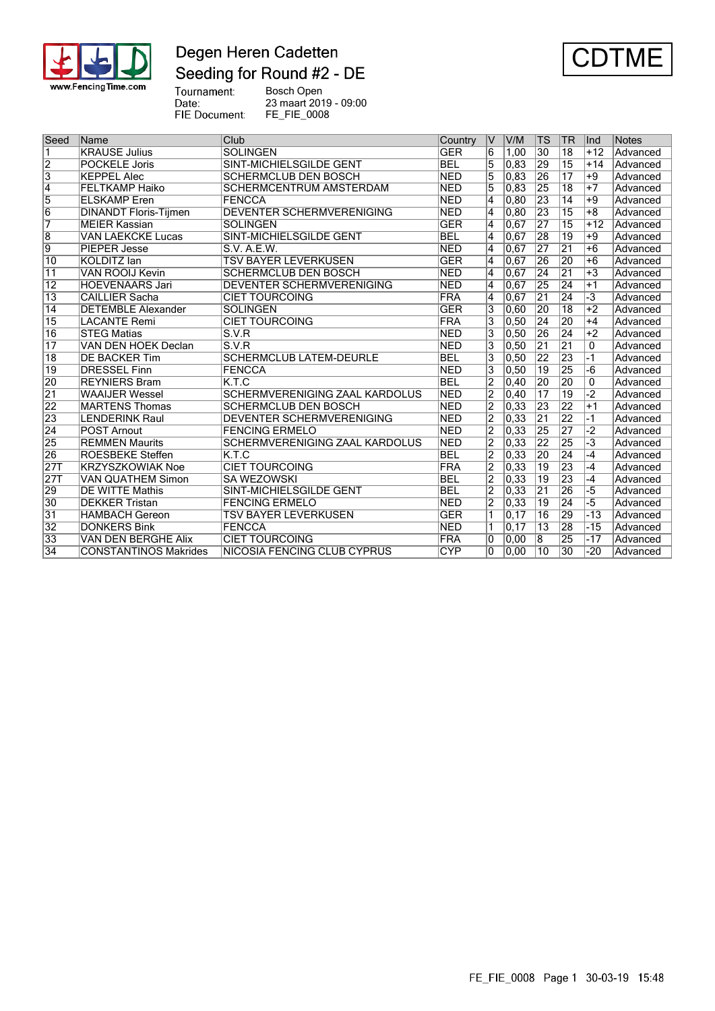

## Degen Heren Cadetten Seeding for Round #2 - DE



Tournament: Bosch Open 23 maart 2019 - 09:00 Date: FIE Document: FE\_FIE\_0008

Seed Name Club Club Club Country V V/M TS TR Ind Notes 1 KRAUSE Julius SOLINGEN GER 6 1,00 30 18 +12 Advanced 2 POCKELE Joris SINT-MICHIELSGILDE GENT BEL 5 0,83 29 15 +14 Advanced<br>3 KEPPEL Alec SCHERMCLUB DEN BOSCH NED 5 0,83 26 17 +9 Advanced 3 KEPPEL Alec SCHERMCLUB DEN BOSCH NED 5 0,83 26 17 +9 Advanced 4 FELTKAMP Haiko SCHERMCENTRUM AMSTERDAM NED 5 0,83 25 18 +7 Advanced<br>5 ELSKAMP Eren FENCCA NED 4 0,80 23 14 +9 Advanced 5 ELSKAMP Eren FENCCA NED 4 0,80 23 14 +9 Advanced 6 DINANDT Floris-Tijmen DEVENTER SCHERMVERENIGING NED 4 0,80 23 15 +8 Advanced 7 MEIER Kassian SOLINGEN GER 4 0,67 27 15 +12 Advanced 8 VAN LAEKCKE Lucas SINT-MICHIELSGILDE GENT BEL 4 0,67 28 19 +9 Advanced 9 PIEPER Jesse S.V. A.E.W.<br>10 KOLDITZ Ian TSV BAYER LEVERKUSEN GER 4 0.67 26 20 +6 Advanced 10 KOLDITZ Ian TSV BAYER LEVERKUSEN GER 4 0,67 26 20 +6 Advanced 11 VAN ROOIJ Kevin SCHERMCLUB DEN BOSCH NED 4 0,67 24 21 +3 Advanced 12 HOEVENAARS Jari DEVENTER SCHERMVERENIGING NED 4 0,67 25 24 +1 Advanced<br>13 CAILLIER Sacha CIET TOURCOING FRA 4 0.67 21 24 -3 Advanced **CIET TOURCOING** 14 DETEMBLE Alexander SOLINGEN GER 3 0,60 20 18 +2 Advanced<br>15 LACANTE Remi CIET TOURCOING FRA 3 0,50 24 20 +4 Advanced 15 CIET TOURCOING FRA 3 0,50 24 20 +4 Advanced<br>15 V.R. S.V.R Remin CIET 1 20 26 24 +2 Advanced 16 STEG Matias S.V.R NED 3 0,50 26 24 +2 Advanced 17 VAN DEN HOEK Declan S.V.R<br>18 DE BACKER Tim SCHERMCLUB LATEM-DEURLE BEL 3 0.50 22 23 -1 Advanced 18 **DE BACKER Tim** SCHERMCLUB LATEM-DEURLE **BEL** 3 0,50 22 23 -1 Advanced 19 DRESSEL Finn FENCCA NED 3 0,50 19 25 -6 Advanced<br>20 REYNIFRS Bram KTC RESERVED BEL 2 0.40 20 20 0 Advanced 20 REYNIERS Bram K.T.C BEL 2 0,40 20 20 0 Advanced 21 WAAIJER Wessel SCHERMVERENIGING ZAAL KARDOLUS NED 2 0,40 17 19 -2 Advanced 22 MARTENS Thomas SCHERMCLUB DEN BOSCH NED 2 0,33 23<br>23 LENDERINK Raul DEVENTER SCHERMVERENIGING NED 2 0.33 21 23 LENDERINK Raul DEVENTER SCHERMVERENIGING NED 2 0,33 21 22 -1 Advanced 24 POST Arnout FENCING ERMELO NED 2 0,33 25 27 -2 Advanced<br>25 REMMEN Maurits SCHERMVERENIGING ZAAL KARDOLUS NED 2 0,33 22 25 -3 Advanced 25 REMMEN Maurits SCHERMVERENIGING ZAAL KARDOLUS NED 2 0,33 22 25 -3 Advanced 26 ROESBEKE Steffen K.T.C BEL 2 0.33 20 24 -4 Advanced 27T KRZYSZKOWIAK Noe CIET TOURCOING FRA 2 0,33 19 23 -4 Advanced 27T VAN QUATHEM Simon SA WEZOWSKI BEL 2 0,33 19 23 -4 Advanced<br>29 DE WITTE Mathis SINT-MICHIELSGILDE GENT BEL 2 0.33 21 26 -5 Advanced 2 0,33 21 26 -5 Advanced 31NT-MICHIELSGILDE GENT BEL 2 0,33 21 26 -5 Advanced<br>DEKKER Tristan BENCING ERMELO NED 2 0.33 19 24 -5 Advanced 30 DEKKER Tristan FENCING ERMELO NED 2 0.33 19 24 -5 Advanced 31 HAMBACH Gereon TSV BAYER LEVERKUSEN GER 1 0,17 16 29 -13 Advanced<br>32 DONKERS Bink FENCCA NED 1 0,17 13 28 -15 Advanced<br>33 VAN DEN BERGHE Alix CIET TOURCOING FRA 0 0,00 8 25 -17 Advanced 32 DONKERS Bink FENCCA NED 1 0,17 13 28 -15 Advanced 33 VAN DEN BERGHE Alix CIET TOURCOING FRA 0 0,00 8 25 -17 Advanced 34 CONSTANTINOS Makrides NICOSIA FENCING CLUB CYPRUS CYP 0 0,00 10 30 -20 Advanced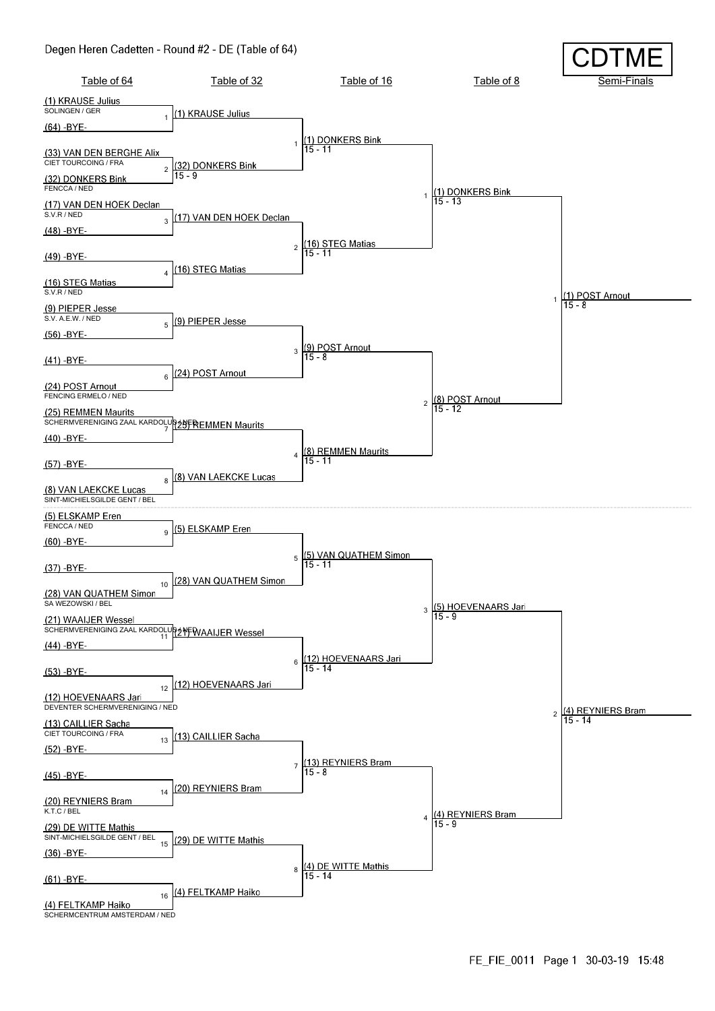#### Degen Heren Cadetten - Round #2 - DE (Table of 64)

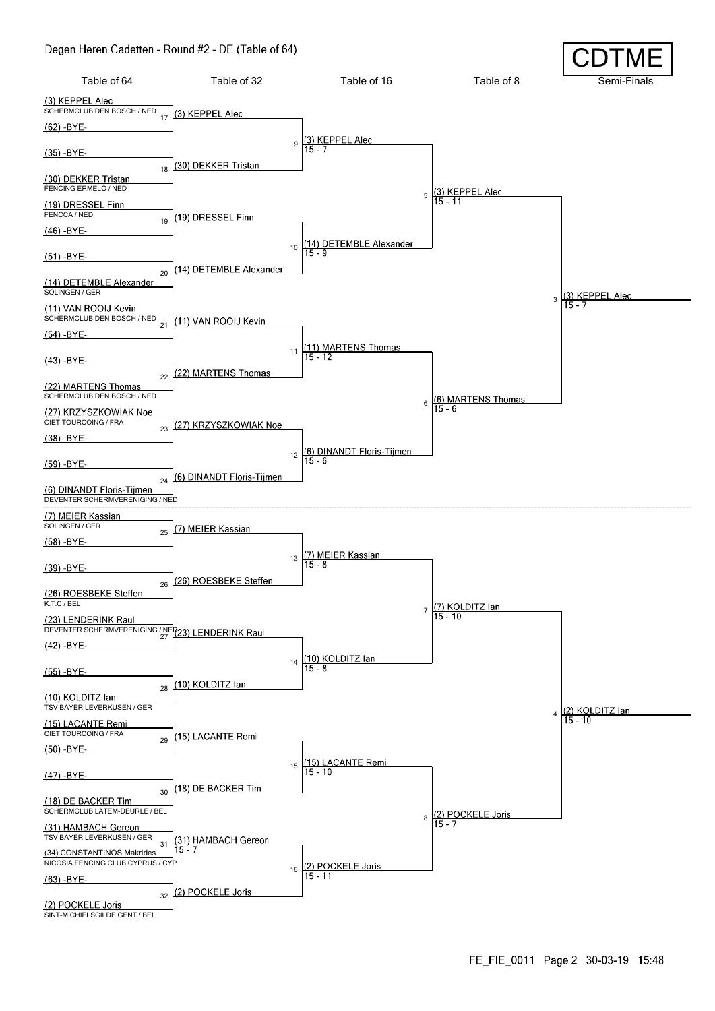#### Degen Heren Cadetten - Round #2 - DE (Table of 64)

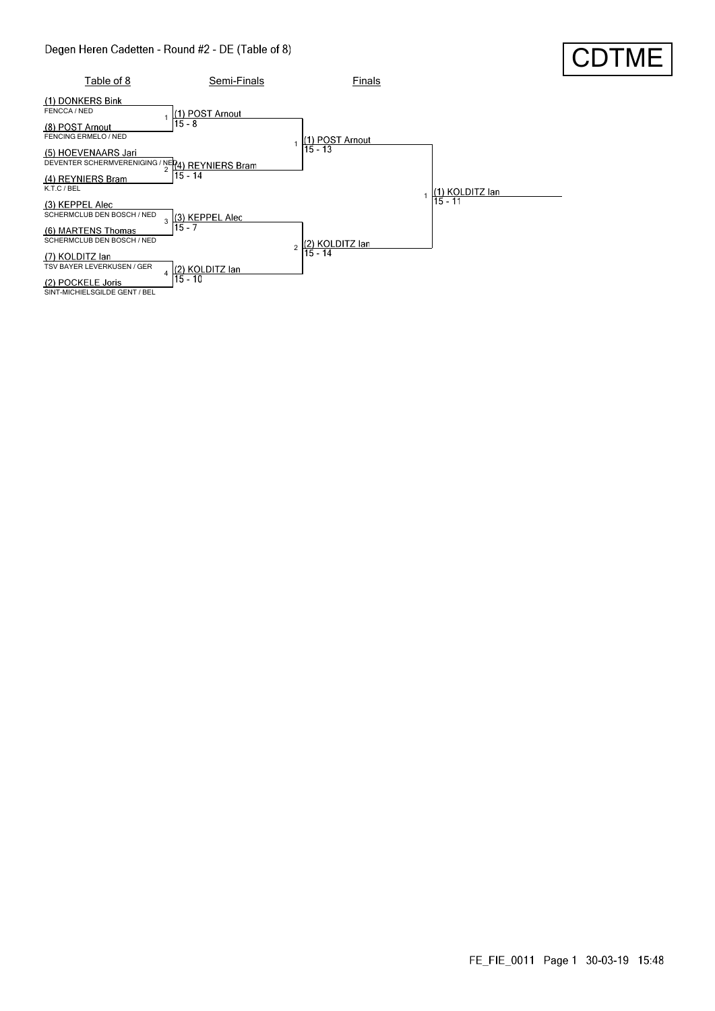#### Degen Heren Cadetten - Round #2 - DE (Table of 8)



### FE\_FIE\_0011 Page 1 30-03-19 15:48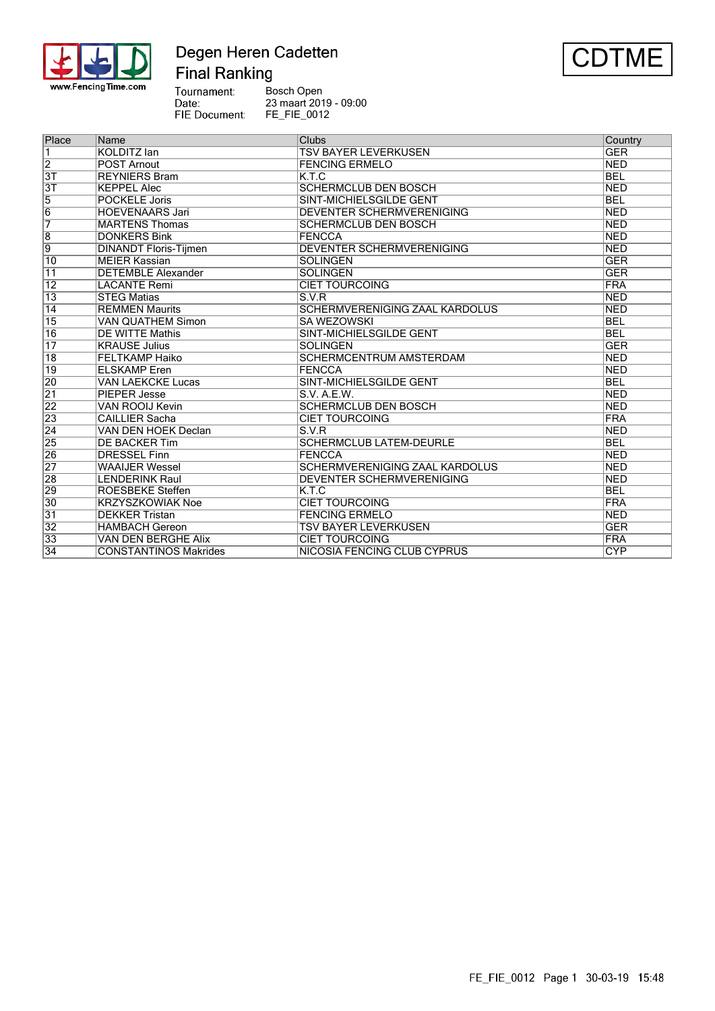

# Degen Heren Cadetten<br>Final Ranking



| Bosch Open            |
|-----------------------|
| 23 maart 2019 - 09:00 |
| <b>FE FIE 0012</b>    |
|                       |

| Place           | Name                         | Clubs                                 | Country    |
|-----------------|------------------------------|---------------------------------------|------------|
| $\overline{1}$  | <b>KOLDITZ</b> lan           | <b>TSV BAYER LEVERKUSEN</b>           | <b>GER</b> |
| $\overline{2}$  | <b>POST Arnout</b>           | <b>FENCING ERMELO</b>                 | <b>NED</b> |
| $\overline{3T}$ | <b>REYNIERS Bram</b>         | K.T.C                                 | <b>BEL</b> |
| $\overline{3T}$ | <b>KEPPEL Alec</b>           | <b>SCHERMCLUB DEN BOSCH</b>           | <b>NED</b> |
| $\overline{5}$  | <b>POCKELE Joris</b>         | SINT-MICHIELSGILDE GENT               | <b>BEL</b> |
| $\overline{6}$  | <b>HOEVENAARS Jari</b>       | DEVENTER SCHERMVERENIGING             | <b>NED</b> |
| 7               | <b>MARTENS Thomas</b>        | <b>SCHERMCLUB DEN BOSCH</b>           | <b>NED</b> |
| $\overline{8}$  | <b>DONKERS Bink</b>          | FENCCA                                | <b>NED</b> |
| $\overline{9}$  | <b>DINANDT Floris-Tijmen</b> | <b>DEVENTER SCHERMVERENIGING</b>      | <b>NED</b> |
| 10              | <b>MEIER Kassian</b>         | <b>SOLINGEN</b>                       | <b>GER</b> |
| 11              | <b>DETEMBLE Alexander</b>    | <b>SOLINGEN</b>                       | <b>GER</b> |
| 12              | <b>LACANTE Remi</b>          | <b>CIET TOURCOING</b>                 | <b>FRA</b> |
| $\overline{13}$ | <b>STEG Matias</b>           | S.V.R                                 | <b>NED</b> |
| $\overline{14}$ | <b>REMMEN Maurits</b>        | <b>SCHERMVERENIGING ZAAL KARDOLUS</b> | <b>NED</b> |
| $\overline{15}$ | <b>VAN QUATHEM Simon</b>     | <b>SA WEZOWSKI</b>                    | <b>BEL</b> |
| $\overline{16}$ | <b>DE WITTE Mathis</b>       | <b>SINT-MICHIELSGILDE GENT</b>        | <b>BEL</b> |
| $\overline{17}$ | <b>KRAUSE Julius</b>         | <b>SOLINGEN</b>                       | <b>GER</b> |
| $\overline{18}$ | <b>FELTKAMP Haiko</b>        | <b>SCHERMCENTRUM AMSTERDAM</b>        | <b>NED</b> |
| 19              | <b>ELSKAMP</b> Eren          | FENCCA                                | <b>NED</b> |
| 20              | <b>VAN LAEKCKE Lucas</b>     | <b>SINT-MICHIELSGILDE GENT</b>        | <b>BEL</b> |
| $\overline{21}$ | <b>PIEPER Jesse</b>          | S.V. A.E.W.                           | <b>NED</b> |
| 22              | <b>VAN ROOIJ Kevin</b>       | <b>SCHERMCLUB DEN BOSCH</b>           | <b>NED</b> |
| 23              | <b>CAILLIER Sacha</b>        | <b>CIET TOURCOING</b>                 | <b>FRA</b> |
| $\overline{24}$ | VAN DEN HOEK Declan          | S.V.R                                 | <b>NED</b> |
| 25              | <b>DE BACKER Tim</b>         | <b>SCHERMCLUB LATEM-DEURLE</b>        | <b>BEL</b> |
| 26              | <b>DRESSEL Finn</b>          | <b>FENCCA</b>                         | <b>NED</b> |
| $\overline{27}$ | <b>WAAIJER Wessel</b>        | SCHERMVERENIGING ZAAL KARDOLUS        | <b>NED</b> |
| 28              | <b>LENDERINK Raul</b>        | DEVENTER SCHERMVERENIGING             | <b>NED</b> |
| 29              | <b>ROESBEKE Steffen</b>      | K.T.C                                 | <b>BEL</b> |
| 30              | <b>KRZYSZKOWIAK Noe</b>      | <b>CIET TOURCOING</b>                 | <b>FRA</b> |
| 31              | <b>DEKKER Tristan</b>        | <b>FENCING ERMELO</b>                 | <b>NED</b> |
| $\overline{32}$ | <b>HAMBACH Gereon</b>        | <b>TSV BAYER LEVERKUSEN</b>           | <b>GER</b> |
| 33              | VAN DEN BERGHE Alix          | <b>CIET TOURCOING</b>                 | <b>FRA</b> |
| $\overline{34}$ | <b>CONSTANTINOS Makrides</b> | NICOSIA FENCING CLUB CYPRUS           | <b>CYP</b> |